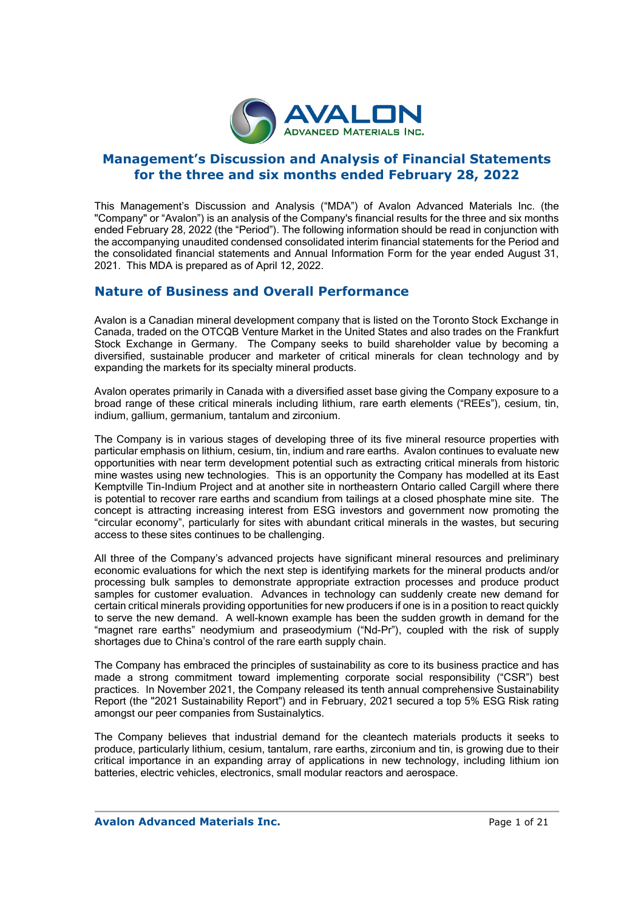

## **Management's Discussion and Analysis of Financial Statements for the three and six months ended February 28, 2022**

This Management's Discussion and Analysis ("MDA") of Avalon Advanced Materials Inc. (the "Company" or "Avalon") is an analysis of the Company's financial results for the three and six months ended February 28, 2022 (the "Period"). The following information should be read in conjunction with the accompanying unaudited condensed consolidated interim financial statements for the Period and the consolidated financial statements and Annual Information Form for the year ended August 31, 2021. This MDA is prepared as of April 12, 2022.

## **Nature of Business and Overall Performance**

Avalon is a Canadian mineral development company that is listed on the Toronto Stock Exchange in Canada, traded on the OTCQB Venture Market in the United States and also trades on the Frankfurt Stock Exchange in Germany. The Company seeks to build shareholder value by becoming a diversified, sustainable producer and marketer of critical minerals for clean technology and by expanding the markets for its specialty mineral products.

Avalon operates primarily in Canada with a diversified asset base giving the Company exposure to a broad range of these critical minerals including lithium, rare earth elements ("REEs"), cesium, tin, indium, gallium, germanium, tantalum and zirconium.

The Company is in various stages of developing three of its five mineral resource properties with particular emphasis on lithium, cesium, tin, indium and rare earths. Avalon continues to evaluate new opportunities with near term development potential such as extracting critical minerals from historic mine wastes using new technologies. This is an opportunity the Company has modelled at its East Kemptville Tin-Indium Project and at another site in northeastern Ontario called Cargill where there is potential to recover rare earths and scandium from tailings at a closed phosphate mine site. The concept is attracting increasing interest from ESG investors and government now promoting the "circular economy", particularly for sites with abundant critical minerals in the wastes, but securing access to these sites continues to be challenging.

All three of the Company's advanced projects have significant mineral resources and preliminary economic evaluations for which the next step is identifying markets for the mineral products and/or processing bulk samples to demonstrate appropriate extraction processes and produce product samples for customer evaluation. Advances in technology can suddenly create new demand for certain critical minerals providing opportunities for new producers if one is in a position to react quickly to serve the new demand. A well-known example has been the sudden growth in demand for the "magnet rare earths" neodymium and praseodymium ("Nd-Pr"), coupled with the risk of supply shortages due to China's control of the rare earth supply chain.

The Company has embraced the principles of sustainability as core to its business practice and has made a strong commitment toward implementing corporate social responsibility ("CSR") best practices. In November 2021, the Company released its tenth annual comprehensive Sustainability Report (the "2021 Sustainability Report") and in February, 2021 secured a top 5% ESG Risk rating amongst our peer companies from Sustainalytics.

The Company believes that industrial demand for the cleantech materials products it seeks to produce, particularly lithium, cesium, tantalum, rare earths, zirconium and tin, is growing due to their critical importance in an expanding array of applications in new technology, including lithium ion batteries, electric vehicles, electronics, small modular reactors and aerospace.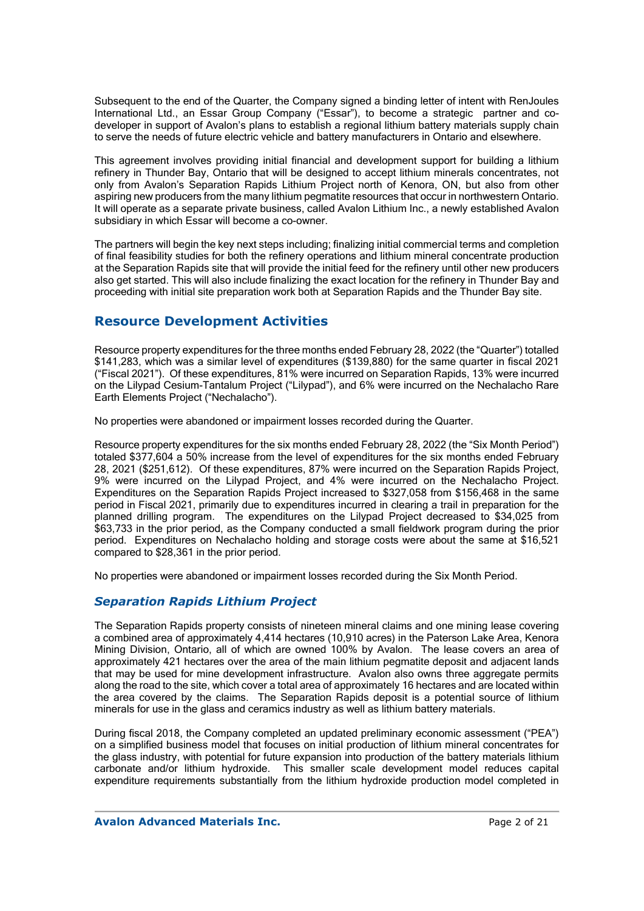Subsequent to the end of the Quarter, the Company signed a binding letter of intent with RenJoules International Ltd., an Essar Group Company ("Essar"), to become a strategic partner and codeveloper in support of Avalon's plans to establish a regional lithium battery materials supply chain to serve the needs of future electric vehicle and battery manufacturers in Ontario and elsewhere.

This agreement involves providing initial financial and development support for building a lithium refinery in Thunder Bay, Ontario that will be designed to accept lithium minerals concentrates, not only from Avalon's Separation Rapids Lithium Project north of Kenora, ON, but also from other aspiring new producers from the many lithium pegmatite resources that occur in northwestern Ontario. It will operate as a separate private business, called Avalon Lithium Inc., a newly established Avalon subsidiary in which Essar will become a co-owner.

The partners will begin the key next steps including; finalizing initial commercial terms and completion of final feasibility studies for both the refinery operations and lithium mineral concentrate production at the Separation Rapids site that will provide the initial feed for the refinery until other new producers also get started. This will also include finalizing the exact location for the refinery in Thunder Bay and proceeding with initial site preparation work both at Separation Rapids and the Thunder Bay site.

# **Resource Development Activities**

Resource property expenditures for the three months ended February 28, 2022 (the "Quarter") totalled \$141,283, which was a similar level of expenditures (\$139,880) for the same quarter in fiscal 2021 ("Fiscal 2021"). Of these expenditures, 81% were incurred on Separation Rapids, 13% were incurred on the Lilypad Cesium-Tantalum Project ("Lilypad"), and 6% were incurred on the Nechalacho Rare Earth Elements Project ("Nechalacho").

No properties were abandoned or impairment losses recorded during the Quarter.

Resource property expenditures for the six months ended February 28, 2022 (the "Six Month Period") totaled \$377,604 a 50% increase from the level of expenditures for the six months ended February 28, 2021 (\$251,612). Of these expenditures, 87% were incurred on the Separation Rapids Project, 9% were incurred on the Lilypad Project, and 4% were incurred on the Nechalacho Project. Expenditures on the Separation Rapids Project increased to \$327,058 from \$156,468 in the same period in Fiscal 2021, primarily due to expenditures incurred in clearing a trail in preparation for the planned drilling program. The expenditures on the Lilypad Project decreased to \$34,025 from \$63,733 in the prior period, as the Company conducted a small fieldwork program during the prior period. Expenditures on Nechalacho holding and storage costs were about the same at \$16,521 compared to \$28,361 in the prior period.

No properties were abandoned or impairment losses recorded during the Six Month Period.

## *Separation Rapids Lithium Project*

The Separation Rapids property consists of nineteen mineral claims and one mining lease covering a combined area of approximately 4,414 hectares (10,910 acres) in the Paterson Lake Area, Kenora Mining Division, Ontario, all of which are owned 100% by Avalon. The lease covers an area of approximately 421 hectares over the area of the main lithium pegmatite deposit and adjacent lands that may be used for mine development infrastructure. Avalon also owns three aggregate permits along the road to the site, which cover a total area of approximately 16 hectares and are located within the area covered by the claims. The Separation Rapids deposit is a potential source of lithium minerals for use in the glass and ceramics industry as well as lithium battery materials.

During fiscal 2018, the Company completed an updated preliminary economic assessment ("PEA") on a simplified business model that focuses on initial production of lithium mineral concentrates for the glass industry, with potential for future expansion into production of the battery materials lithium carbonate and/or lithium hydroxide. This smaller scale development model reduces capital expenditure requirements substantially from the lithium hydroxide production model completed in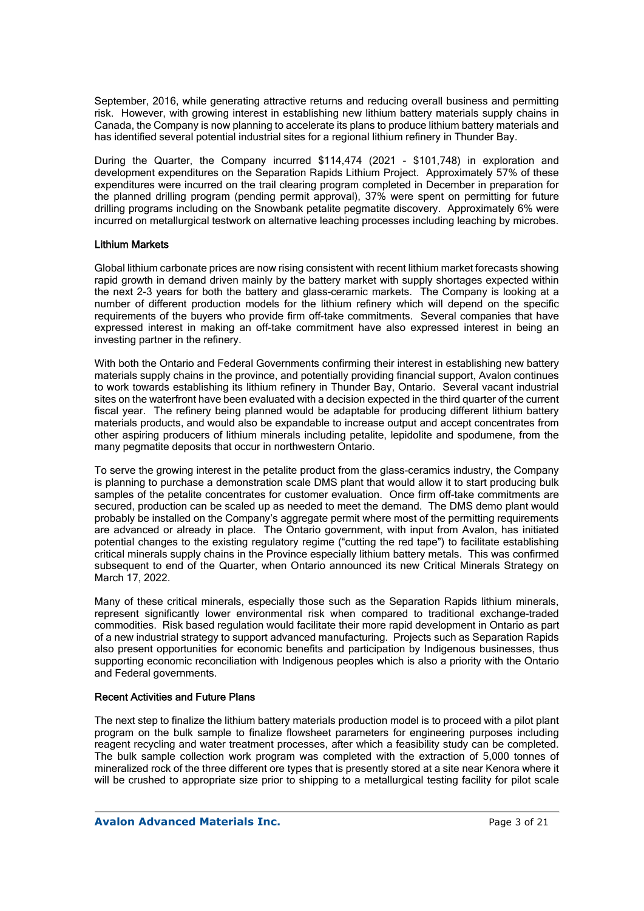September, 2016, while generating attractive returns and reducing overall business and permitting risk. However, with growing interest in establishing new lithium battery materials supply chains in Canada, the Company is now planning to accelerate its plans to produce lithium battery materials and has identified several potential industrial sites for a regional lithium refinery in Thunder Bay.

During the Quarter, the Company incurred \$114,474 (2021 - \$101,748) in exploration and development expenditures on the Separation Rapids Lithium Project. Approximately 57% of these expenditures were incurred on the trail clearing program completed in December in preparation for the planned drilling program (pending permit approval), 37% were spent on permitting for future drilling programs including on the Snowbank petalite pegmatite discovery. Approximately 6% were incurred on metallurgical testwork on alternative leaching processes including leaching by microbes.

### Lithium Markets

Global lithium carbonate prices are now rising consistent with recent lithium market forecasts showing rapid growth in demand driven mainly by the battery market with supply shortages expected within the next 2-3 years for both the battery and glass-ceramic markets. The Company is looking at a number of different production models for the lithium refinery which will depend on the specific requirements of the buyers who provide firm off-take commitments. Several companies that have expressed interest in making an off-take commitment have also expressed interest in being an investing partner in the refinery.

With both the Ontario and Federal Governments confirming their interest in establishing new battery materials supply chains in the province, and potentially providing financial support, Avalon continues to work towards establishing its lithium refinery in Thunder Bay, Ontario. Several vacant industrial sites on the waterfront have been evaluated with a decision expected in the third quarter of the current fiscal year. The refinery being planned would be adaptable for producing different lithium battery materials products, and would also be expandable to increase output and accept concentrates from other aspiring producers of lithium minerals including petalite, lepidolite and spodumene, from the many pegmatite deposits that occur in northwestern Ontario.

To serve the growing interest in the petalite product from the glass-ceramics industry, the Company is planning to purchase a demonstration scale DMS plant that would allow it to start producing bulk samples of the petalite concentrates for customer evaluation. Once firm off-take commitments are secured, production can be scaled up as needed to meet the demand. The DMS demo plant would probably be installed on the Company's aggregate permit where most of the permitting requirements are advanced or already in place. The Ontario government, with input from Avalon, has initiated potential changes to the existing regulatory regime ("cutting the red tape") to facilitate establishing critical minerals supply chains in the Province especially lithium battery metals. This was confirmed subsequent to end of the Quarter, when Ontario announced its new Critical Minerals Strategy on March 17, 2022.

Many of these critical minerals, especially those such as the Separation Rapids lithium minerals, represent significantly lower environmental risk when compared to traditional exchange-traded commodities. Risk based regulation would facilitate their more rapid development in Ontario as part of a new industrial strategy to support advanced manufacturing. Projects such as Separation Rapids also present opportunities for economic benefits and participation by Indigenous businesses, thus supporting economic reconciliation with Indigenous peoples which is also a priority with the Ontario and Federal governments.

### Recent Activities and Future Plans

The next step to finalize the lithium battery materials production model is to proceed with a pilot plant program on the bulk sample to finalize flowsheet parameters for engineering purposes including reagent recycling and water treatment processes, after which a feasibility study can be completed. The bulk sample collection work program was completed with the extraction of 5,000 tonnes of mineralized rock of the three different ore types that is presently stored at a site near Kenora where it will be crushed to appropriate size prior to shipping to a metallurgical testing facility for pilot scale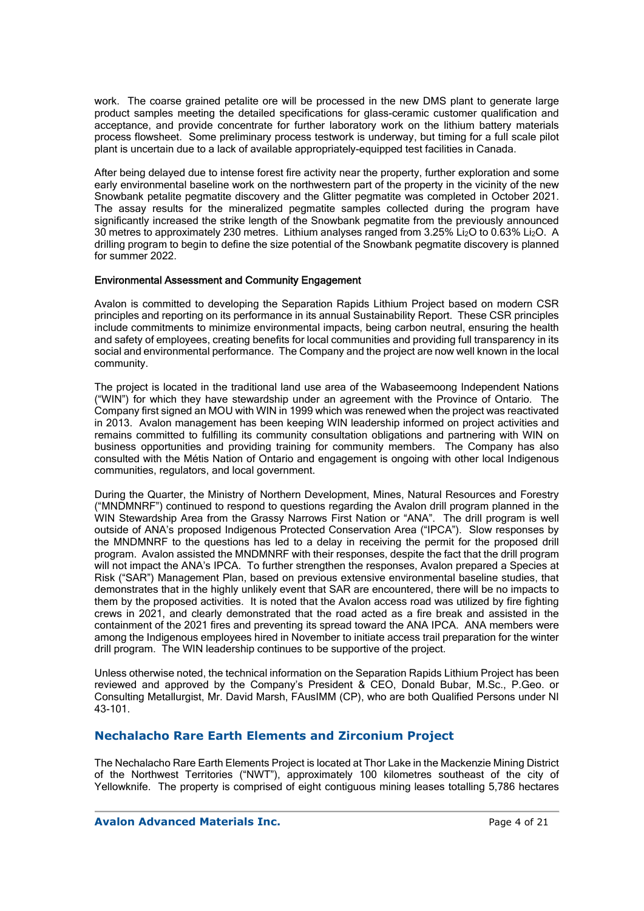work. The coarse grained petalite ore will be processed in the new DMS plant to generate large product samples meeting the detailed specifications for glass-ceramic customer qualification and acceptance, and provide concentrate for further laboratory work on the lithium battery materials process flowsheet. Some preliminary process testwork is underway, but timing for a full scale pilot plant is uncertain due to a lack of available appropriately-equipped test facilities in Canada.

After being delayed due to intense forest fire activity near the property, further exploration and some early environmental baseline work on the northwestern part of the property in the vicinity of the new Snowbank petalite pegmatite discovery and the Glitter pegmatite was completed in October 2021. The assay results for the mineralized pegmatite samples collected during the program have significantly increased the strike length of the Snowbank pegmatite from the previously announced 30 metres to approximately 230 metres. Lithium analyses ranged from 3.25% Li2O to 0.63% Li2O. A drilling program to begin to define the size potential of the Snowbank pegmatite discovery is planned for summer 2022.

### Environmental Assessment and Community Engagement

Avalon is committed to developing the Separation Rapids Lithium Project based on modern CSR principles and reporting on its performance in its annual Sustainability Report. These CSR principles include commitments to minimize environmental impacts, being carbon neutral, ensuring the health and safety of employees, creating benefits for local communities and providing full transparency in its social and environmental performance. The Company and the project are now well known in the local community.

The project is located in the traditional land use area of the Wabaseemoong Independent Nations ("WIN") for which they have stewardship under an agreement with the Province of Ontario. The Company first signed an MOU with WIN in 1999 which was renewed when the project was reactivated in 2013. Avalon management has been keeping WIN leadership informed on project activities and remains committed to fulfilling its community consultation obligations and partnering with WIN on business opportunities and providing training for community members. The Company has also consulted with the Métis Nation of Ontario and engagement is ongoing with other local Indigenous communities, regulators, and local government.

During the Quarter, the Ministry of Northern Development, Mines, Natural Resources and Forestry ("MNDMNRF") continued to respond to questions regarding the Avalon drill program planned in the WIN Stewardship Area from the Grassy Narrows First Nation or "ANA". The drill program is well outside of ANA's proposed Indigenous Protected Conservation Area ("IPCA"). Slow responses by the MNDMNRF to the questions has led to a delay in receiving the permit for the proposed drill program. Avalon assisted the MNDMNRF with their responses, despite the fact that the drill program will not impact the ANA's IPCA. To further strengthen the responses, Avalon prepared a Species at Risk ("SAR") Management Plan, based on previous extensive environmental baseline studies, that demonstrates that in the highly unlikely event that SAR are encountered, there will be no impacts to them by the proposed activities. It is noted that the Avalon access road was utilized by fire fighting crews in 2021, and clearly demonstrated that the road acted as a fire break and assisted in the containment of the 2021 fires and preventing its spread toward the ANA IPCA. ANA members were among the Indigenous employees hired in November to initiate access trail preparation for the winter drill program. The WIN leadership continues to be supportive of the project.

Unless otherwise noted, the technical information on the Separation Rapids Lithium Project has been reviewed and approved by the Company's President & CEO, Donald Bubar, M.Sc., P.Geo. or Consulting Metallurgist, Mr. David Marsh, FAusIMM (CP), who are both Qualified Persons under NI 43-101.

### **Nechalacho Rare Earth Elements and Zirconium Project**

The Nechalacho Rare Earth Elements Project is located at Thor Lake in the Mackenzie Mining District of the Northwest Territories ("NWT"), approximately 100 kilometres southeast of the city of Yellowknife. The property is comprised of eight contiguous mining leases totalling 5,786 hectares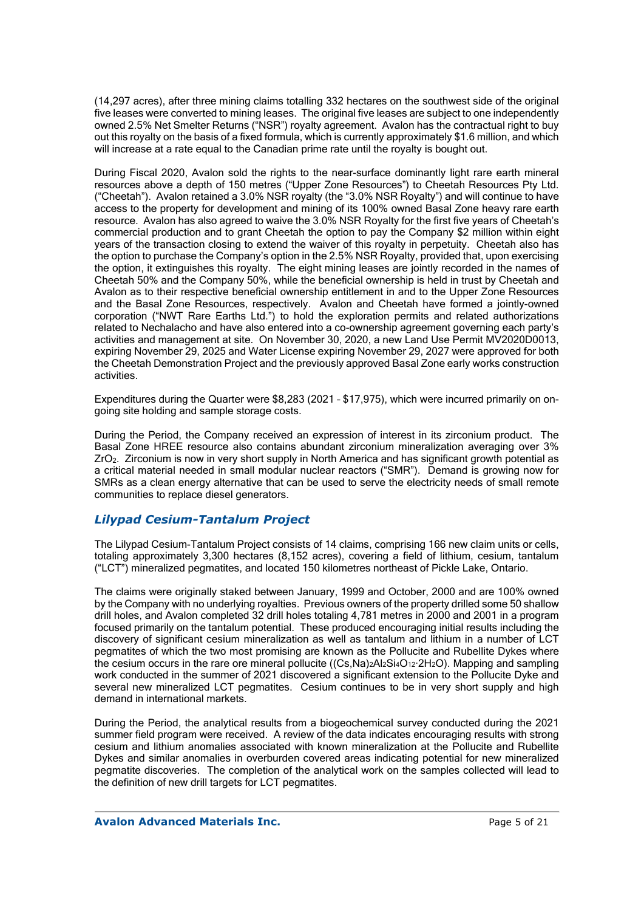(14,297 acres), after three mining claims totalling 332 hectares on the southwest side of the original five leases were converted to mining leases. The original five leases are subject to one independently owned 2.5% Net Smelter Returns ("NSR") royalty agreement. Avalon has the contractual right to buy out this royalty on the basis of a fixed formula, which is currently approximately \$1.6 million, and which will increase at a rate equal to the Canadian prime rate until the royalty is bought out.

During Fiscal 2020, Avalon sold the rights to the near-surface dominantly light rare earth mineral resources above a depth of 150 metres ("Upper Zone Resources") to Cheetah Resources Pty Ltd. ("Cheetah"). Avalon retained a 3.0% NSR royalty (the "3.0% NSR Royalty") and will continue to have access to the property for development and mining of its 100% owned Basal Zone heavy rare earth resource. Avalon has also agreed to waive the 3.0% NSR Royalty for the first five years of Cheetah's commercial production and to grant Cheetah the option to pay the Company \$2 million within eight years of the transaction closing to extend the waiver of this royalty in perpetuity. Cheetah also has the option to purchase the Company's option in the 2.5% NSR Royalty, provided that, upon exercising the option, it extinguishes this royalty. The eight mining leases are jointly recorded in the names of Cheetah 50% and the Company 50%, while the beneficial ownership is held in trust by Cheetah and Avalon as to their respective beneficial ownership entitlement in and to the Upper Zone Resources and the Basal Zone Resources, respectively. Avalon and Cheetah have formed a jointly-owned corporation ("NWT Rare Earths Ltd.") to hold the exploration permits and related authorizations related to Nechalacho and have also entered into a co-ownership agreement governing each party's activities and management at site. On November 30, 2020, a new Land Use Permit MV2020D0013, expiring November 29, 2025 and Water License expiring November 29, 2027 were approved for both the Cheetah Demonstration Project and the previously approved Basal Zone early works construction activities.

Expenditures during the Quarter were \$8,283 (2021 – \$17,975), which were incurred primarily on ongoing site holding and sample storage costs.

During the Period, the Company received an expression of interest in its zirconium product. The Basal Zone HREE resource also contains abundant zirconium mineralization averaging over 3% ZrO2. Zirconium is now in very short supply in North America and has significant growth potential as a critical material needed in small modular nuclear reactors ("SMR"). Demand is growing now for SMRs as a clean energy alternative that can be used to serve the electricity needs of small remote communities to replace diesel generators.

### *Lilypad Cesium-Tantalum Project*

The Lilypad Cesium-Tantalum Project consists of 14 claims, comprising 166 new claim units or cells, totaling approximately 3,300 hectares (8,152 acres), covering a field of lithium, cesium, tantalum ("LCT") mineralized pegmatites, and located 150 kilometres northeast of Pickle Lake, Ontario.

The claims were originally staked between January, 1999 and October, 2000 and are 100% owned by the Company with no underlying royalties. Previous owners of the property drilled some 50 shallow drill holes, and Avalon completed 32 drill holes totaling 4,781 metres in 2000 and 2001 in a program focused primarily on the tantalum potential. These produced encouraging initial results including the discovery of significant cesium mineralization as well as tantalum and lithium in a number of LCT pegmatites of which the two most promising are known as the Pollucite and Rubellite Dykes where the cesium occurs in the rare ore mineral pollucite ((Cs,Na)<sub>2</sub>Al<sub>2</sub>Si<sub>4</sub>O<sub>12</sub>·2H<sub>2</sub>O). Mapping and sampling work conducted in the summer of 2021 discovered a significant extension to the Pollucite Dyke and several new mineralized LCT pegmatites. Cesium continues to be in very short supply and high demand in international markets.

During the Period, the analytical results from a biogeochemical survey conducted during the 2021 summer field program were received. A review of the data indicates encouraging results with strong cesium and lithium anomalies associated with known mineralization at the Pollucite and Rubellite Dykes and similar anomalies in overburden covered areas indicating potential for new mineralized pegmatite discoveries. The completion of the analytical work on the samples collected will lead to the definition of new drill targets for LCT pegmatites.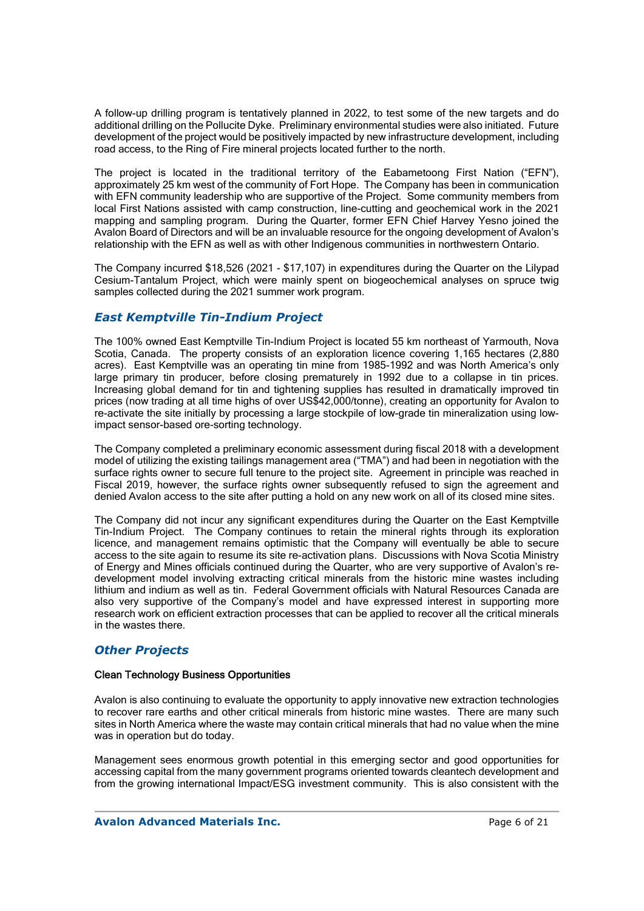A follow-up drilling program is tentatively planned in 2022, to test some of the new targets and do additional drilling on the Pollucite Dyke. Preliminary environmental studies were also initiated. Future development of the project would be positively impacted by new infrastructure development, including road access, to the Ring of Fire mineral projects located further to the north.

The project is located in the traditional territory of the Eabametoong First Nation ("EFN"), approximately 25 km west of the community of Fort Hope. The Company has been in communication with EFN community leadership who are supportive of the Project. Some community members from local First Nations assisted with camp construction, line-cutting and geochemical work in the 2021 mapping and sampling program. During the Quarter, former EFN Chief Harvey Yesno joined the Avalon Board of Directors and will be an invaluable resource for the ongoing development of Avalon's relationship with the EFN as well as with other Indigenous communities in northwestern Ontario.

The Company incurred \$18,526 (2021 - \$17,107) in expenditures during the Quarter on the Lilypad Cesium-Tantalum Project, which were mainly spent on biogeochemical analyses on spruce twig samples collected during the 2021 summer work program.

## *East Kemptville Tin-Indium Project*

The 100% owned East Kemptville Tin-Indium Project is located 55 km northeast of Yarmouth, Nova Scotia, Canada. The property consists of an exploration licence covering 1,165 hectares (2,880 acres). East Kemptville was an operating tin mine from 1985-1992 and was North America's only large primary tin producer, before closing prematurely in 1992 due to a collapse in tin prices. Increasing global demand for tin and tightening supplies has resulted in dramatically improved tin prices (now trading at all time highs of over US\$42,000/tonne), creating an opportunity for Avalon to re-activate the site initially by processing a large stockpile of low-grade tin mineralization using lowimpact sensor-based ore-sorting technology.

The Company completed a preliminary economic assessment during fiscal 2018 with a development model of utilizing the existing tailings management area ("TMA") and had been in negotiation with the surface rights owner to secure full tenure to the project site. Agreement in principle was reached in Fiscal 2019, however, the surface rights owner subsequently refused to sign the agreement and denied Avalon access to the site after putting a hold on any new work on all of its closed mine sites.

The Company did not incur any significant expenditures during the Quarter on the East Kemptville Tin-Indium Project. The Company continues to retain the mineral rights through its exploration licence, and management remains optimistic that the Company will eventually be able to secure access to the site again to resume its site re-activation plans. Discussions with Nova Scotia Ministry of Energy and Mines officials continued during the Quarter, who are very supportive of Avalon's redevelopment model involving extracting critical minerals from the historic mine wastes including lithium and indium as well as tin. Federal Government officials with Natural Resources Canada are also very supportive of the Company's model and have expressed interest in supporting more research work on efficient extraction processes that can be applied to recover all the critical minerals in the wastes there.

### *Other Projects*

### Clean Technology Business Opportunities

Avalon is also continuing to evaluate the opportunity to apply innovative new extraction technologies to recover rare earths and other critical minerals from historic mine wastes. There are many such sites in North America where the waste may contain critical minerals that had no value when the mine was in operation but do today.

Management sees enormous growth potential in this emerging sector and good opportunities for accessing capital from the many government programs oriented towards cleantech development and from the growing international Impact/ESG investment community. This is also consistent with the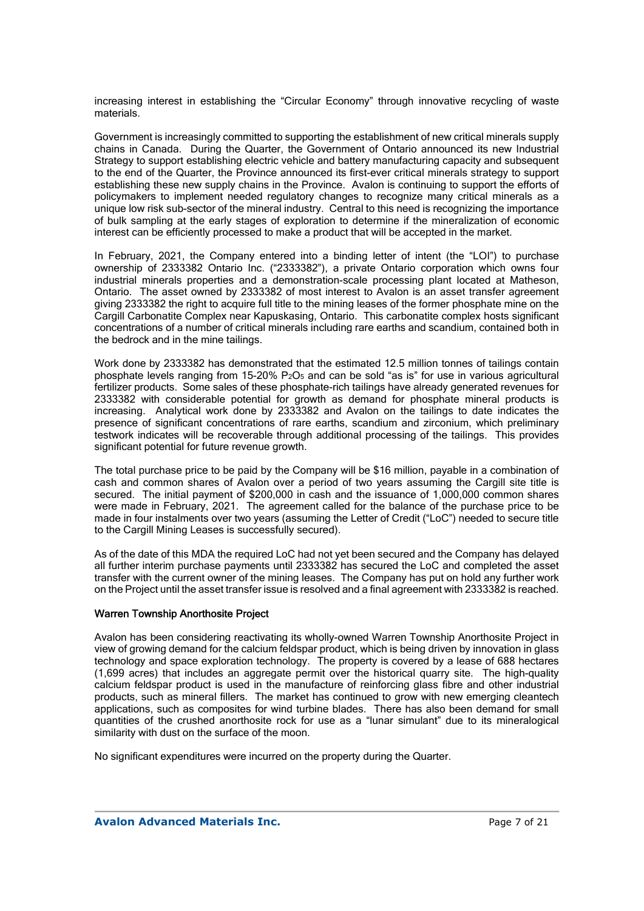increasing interest in establishing the "Circular Economy" through innovative recycling of waste materials.

Government is increasingly committed to supporting the establishment of new critical minerals supply chains in Canada. During the Quarter, the Government of Ontario announced its new Industrial Strategy to support establishing electric vehicle and battery manufacturing capacity and subsequent to the end of the Quarter, the Province announced its first-ever critical minerals strategy to support establishing these new supply chains in the Province. Avalon is continuing to support the efforts of policymakers to implement needed regulatory changes to recognize many critical minerals as a unique low risk sub-sector of the mineral industry. Central to this need is recognizing the importance of bulk sampling at the early stages of exploration to determine if the mineralization of economic interest can be efficiently processed to make a product that will be accepted in the market.

In February, 2021, the Company entered into a binding letter of intent (the "LOI") to purchase ownership of 2333382 Ontario Inc. ("2333382"), a private Ontario corporation which owns four industrial minerals properties and a demonstration-scale processing plant located at Matheson, Ontario. The asset owned by 2333382 of most interest to Avalon is an asset transfer agreement giving 2333382 the right to acquire full title to the mining leases of the former phosphate mine on the Cargill Carbonatite Complex near Kapuskasing, Ontario. This carbonatite complex hosts significant concentrations of a number of critical minerals including rare earths and scandium, contained both in the bedrock and in the mine tailings.

Work done by 2333382 has demonstrated that the estimated 12.5 million tonnes of tailings contain phosphate levels ranging from 15-20%  $P_2O_5$  and can be sold "as is" for use in various agricultural fertilizer products. Some sales of these phosphate-rich tailings have already generated revenues for 2333382 with considerable potential for growth as demand for phosphate mineral products is increasing. Analytical work done by 2333382 and Avalon on the tailings to date indicates the presence of significant concentrations of rare earths, scandium and zirconium, which preliminary testwork indicates will be recoverable through additional processing of the tailings. This provides significant potential for future revenue growth.

The total purchase price to be paid by the Company will be \$16 million, payable in a combination of cash and common shares of Avalon over a period of two years assuming the Cargill site title is secured. The initial payment of \$200,000 in cash and the issuance of 1,000,000 common shares were made in February, 2021. The agreement called for the balance of the purchase price to be made in four instalments over two years (assuming the Letter of Credit ("LoC") needed to secure title to the Cargill Mining Leases is successfully secured).

As of the date of this MDA the required LoC had not yet been secured and the Company has delayed all further interim purchase payments until 2333382 has secured the LoC and completed the asset transfer with the current owner of the mining leases. The Company has put on hold any further work on the Project until the asset transfer issue is resolved and a final agreement with 2333382 is reached.

### Warren Township Anorthosite Project

Avalon has been considering reactivating its wholly-owned Warren Township Anorthosite Project in view of growing demand for the calcium feldspar product, which is being driven by innovation in glass technology and space exploration technology. The property is covered by a lease of 688 hectares (1,699 acres) that includes an aggregate permit over the historical quarry site. The high-quality calcium feldspar product is used in the manufacture of reinforcing glass fibre and other industrial products, such as mineral fillers. The market has continued to grow with new emerging cleantech applications, such as composites for wind turbine blades. There has also been demand for small quantities of the crushed anorthosite rock for use as a "lunar simulant" due to its mineralogical similarity with dust on the surface of the moon.

No significant expenditures were incurred on the property during the Quarter.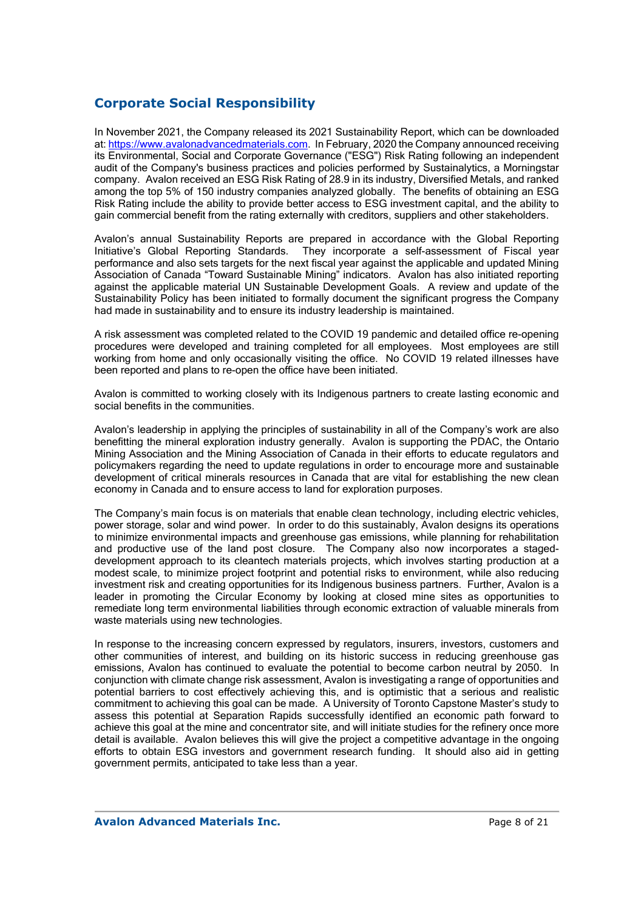# **Corporate Social Responsibility**

In November 2021, the Company released its 2021 Sustainability Report, which can be downloaded at: https://www.avalonadvancedmaterials.com. In February, 2020 the Company announced receiving its Environmental, Social and Corporate Governance ("ESG") Risk Rating following an independent audit of the Company's business practices and policies performed by Sustainalytics, a Morningstar company. Avalon received an ESG Risk Rating of 28.9 in its industry, Diversified Metals, and ranked among the top 5% of 150 industry companies analyzed globally. The benefits of obtaining an ESG Risk Rating include the ability to provide better access to ESG investment capital, and the ability to gain commercial benefit from the rating externally with creditors, suppliers and other stakeholders.

Avalon's annual Sustainability Reports are prepared in accordance with the Global Reporting Initiative's Global Reporting Standards. They incorporate a self-assessment of Fiscal year performance and also sets targets for the next fiscal year against the applicable and updated Mining Association of Canada "Toward Sustainable Mining" indicators. Avalon has also initiated reporting against the applicable material UN Sustainable Development Goals. A review and update of the Sustainability Policy has been initiated to formally document the significant progress the Company had made in sustainability and to ensure its industry leadership is maintained.

A risk assessment was completed related to the COVID 19 pandemic and detailed office re-opening procedures were developed and training completed for all employees. Most employees are still working from home and only occasionally visiting the office. No COVID 19 related illnesses have been reported and plans to re-open the office have been initiated.

Avalon is committed to working closely with its Indigenous partners to create lasting economic and social benefits in the communities.

Avalon's leadership in applying the principles of sustainability in all of the Company's work are also benefitting the mineral exploration industry generally. Avalon is supporting the PDAC, the Ontario Mining Association and the Mining Association of Canada in their efforts to educate regulators and policymakers regarding the need to update regulations in order to encourage more and sustainable development of critical minerals resources in Canada that are vital for establishing the new clean economy in Canada and to ensure access to land for exploration purposes.

The Company's main focus is on materials that enable clean technology, including electric vehicles, power storage, solar and wind power. In order to do this sustainably, Avalon designs its operations to minimize environmental impacts and greenhouse gas emissions, while planning for rehabilitation and productive use of the land post closure. The Company also now incorporates a stageddevelopment approach to its cleantech materials projects, which involves starting production at a modest scale, to minimize project footprint and potential risks to environment, while also reducing investment risk and creating opportunities for its Indigenous business partners. Further, Avalon is a leader in promoting the Circular Economy by looking at closed mine sites as opportunities to remediate long term environmental liabilities through economic extraction of valuable minerals from waste materials using new technologies.

In response to the increasing concern expressed by regulators, insurers, investors, customers and other communities of interest, and building on its historic success in reducing greenhouse gas emissions, Avalon has continued to evaluate the potential to become carbon neutral by 2050. In conjunction with climate change risk assessment, Avalon is investigating a range of opportunities and potential barriers to cost effectively achieving this, and is optimistic that a serious and realistic commitment to achieving this goal can be made. A University of Toronto Capstone Master's study to assess this potential at Separation Rapids successfully identified an economic path forward to achieve this goal at the mine and concentrator site, and will initiate studies for the refinery once more detail is available. Avalon believes this will give the project a competitive advantage in the ongoing efforts to obtain ESG investors and government research funding. It should also aid in getting government permits, anticipated to take less than a year.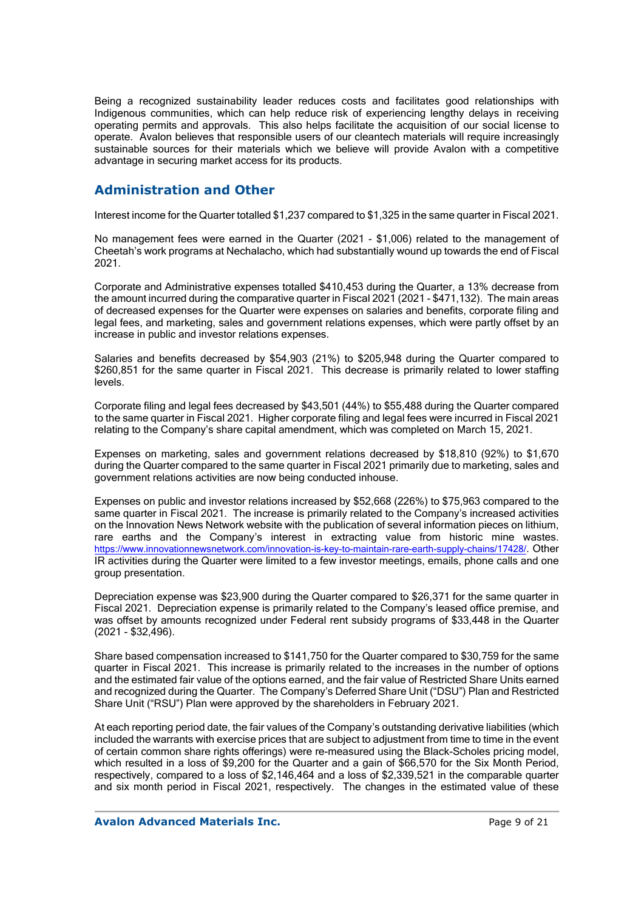Being a recognized sustainability leader reduces costs and facilitates good relationships with Indigenous communities, which can help reduce risk of experiencing lengthy delays in receiving operating permits and approvals. This also helps facilitate the acquisition of our social license to operate. Avalon believes that responsible users of our cleantech materials will require increasingly sustainable sources for their materials which we believe will provide Avalon with a competitive advantage in securing market access for its products.

## **Administration and Other**

Interest income for the Quarter totalled \$1,237 compared to \$1,325 in the same quarter in Fiscal 2021.

No management fees were earned in the Quarter (2021 - \$1,006) related to the management of Cheetah's work programs at Nechalacho, which had substantially wound up towards the end of Fiscal 2021.

Corporate and Administrative expenses totalled \$410,453 during the Quarter, a 13% decrease from the amount incurred during the comparative quarter in Fiscal 2021 (2021 - \$471,132). The main areas of decreased expenses for the Quarter were expenses on salaries and benefits, corporate filing and legal fees, and marketing, sales and government relations expenses, which were partly offset by an increase in public and investor relations expenses.

Salaries and benefits decreased by \$54,903 (21%) to \$205,948 during the Quarter compared to \$260,851 for the same quarter in Fiscal 2021. This decrease is primarily related to lower staffing levels.

Corporate filing and legal fees decreased by \$43,501 (44%) to \$55,488 during the Quarter compared to the same quarter in Fiscal 2021. Higher corporate filing and legal fees were incurred in Fiscal 2021 relating to the Company's share capital amendment, which was completed on March 15, 2021.

Expenses on marketing, sales and government relations decreased by \$18,810 (92%) to \$1,670 during the Quarter compared to the same quarter in Fiscal 2021 primarily due to marketing, sales and government relations activities are now being conducted inhouse.

Expenses on public and investor relations increased by \$52,668 (226%) to \$75,963 compared to the same quarter in Fiscal 2021. The increase is primarily related to the Company's increased activities on the Innovation News Network website with the publication of several information pieces on lithium, rare earths and the Company's interest in extracting value from historic mine wastes. https://www.innovationnewsnetwork.com/innovation-is-key-to-maintain-rare-earth-supply-chains/17428/. Other IR activities during the Quarter were limited to a few investor meetings, emails, phone calls and one group presentation.

Depreciation expense was \$23,900 during the Quarter compared to \$26,371 for the same quarter in Fiscal 2021. Depreciation expense is primarily related to the Company's leased office premise, and was offset by amounts recognized under Federal rent subsidy programs of \$33,448 in the Quarter (2021 - \$32,496).

Share based compensation increased to \$141,750 for the Quarter compared to \$30,759 for the same quarter in Fiscal 2021. This increase is primarily related to the increases in the number of options and the estimated fair value of the options earned, and the fair value of Restricted Share Units earned and recognized during the Quarter. The Company's Deferred Share Unit ("DSU") Plan and Restricted Share Unit ("RSU") Plan were approved by the shareholders in February 2021.

At each reporting period date, the fair values of the Company's outstanding derivative liabilities (which included the warrants with exercise prices that are subject to adjustment from time to time in the event of certain common share rights offerings) were re-measured using the Black-Scholes pricing model, which resulted in a loss of \$9,200 for the Quarter and a gain of \$66,570 for the Six Month Period, respectively, compared to a loss of \$2,146,464 and a loss of \$2,339,521 in the comparable quarter and six month period in Fiscal 2021, respectively. The changes in the estimated value of these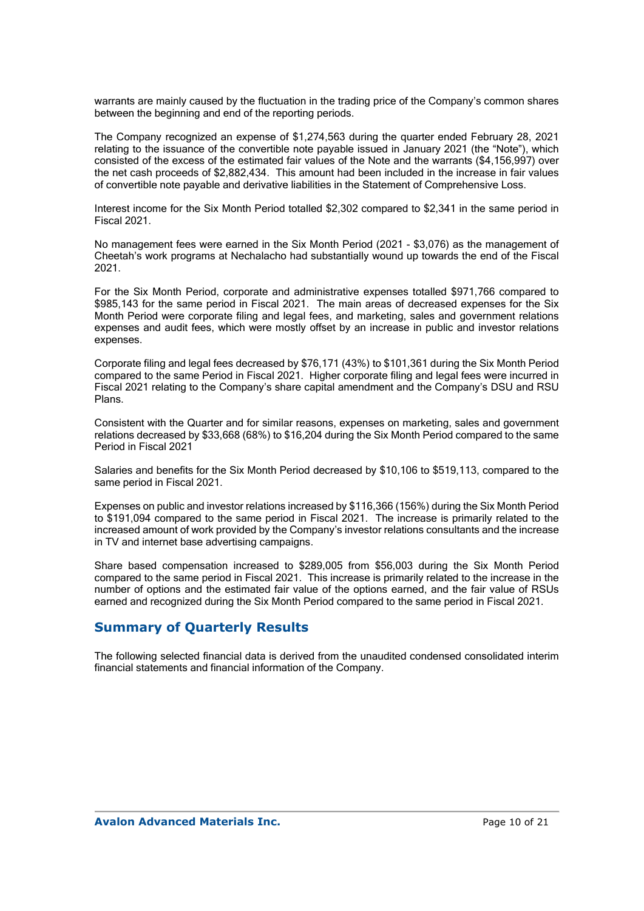warrants are mainly caused by the fluctuation in the trading price of the Company's common shares between the beginning and end of the reporting periods.

The Company recognized an expense of \$1,274,563 during the quarter ended February 28, 2021 relating to the issuance of the convertible note payable issued in January 2021 (the "Note"), which consisted of the excess of the estimated fair values of the Note and the warrants (\$4,156,997) over the net cash proceeds of \$2,882,434. This amount had been included in the increase in fair values of convertible note payable and derivative liabilities in the Statement of Comprehensive Loss.

Interest income for the Six Month Period totalled \$2,302 compared to \$2,341 in the same period in Fiscal 2021.

No management fees were earned in the Six Month Period (2021 - \$3,076) as the management of Cheetah's work programs at Nechalacho had substantially wound up towards the end of the Fiscal 2021.

For the Six Month Period, corporate and administrative expenses totalled \$971,766 compared to \$985,143 for the same period in Fiscal 2021. The main areas of decreased expenses for the Six Month Period were corporate filing and legal fees, and marketing, sales and government relations expenses and audit fees, which were mostly offset by an increase in public and investor relations expenses.

Corporate filing and legal fees decreased by \$76,171 (43%) to \$101,361 during the Six Month Period compared to the same Period in Fiscal 2021. Higher corporate filing and legal fees were incurred in Fiscal 2021 relating to the Company's share capital amendment and the Company's DSU and RSU Plans.

Consistent with the Quarter and for similar reasons, expenses on marketing, sales and government relations decreased by \$33,668 (68%) to \$16,204 during the Six Month Period compared to the same Period in Fiscal 2021

Salaries and benefits for the Six Month Period decreased by \$10,106 to \$519,113, compared to the same period in Fiscal 2021.

Expenses on public and investor relations increased by \$116,366 (156%) during the Six Month Period to \$191,094 compared to the same period in Fiscal 2021. The increase is primarily related to the increased amount of work provided by the Company's investor relations consultants and the increase in TV and internet base advertising campaigns.

Share based compensation increased to \$289,005 from \$56,003 during the Six Month Period compared to the same period in Fiscal 2021. This increase is primarily related to the increase in the number of options and the estimated fair value of the options earned, and the fair value of RSUs earned and recognized during the Six Month Period compared to the same period in Fiscal 2021.

## **Summary of Quarterly Results**

The following selected financial data is derived from the unaudited condensed consolidated interim financial statements and financial information of the Company.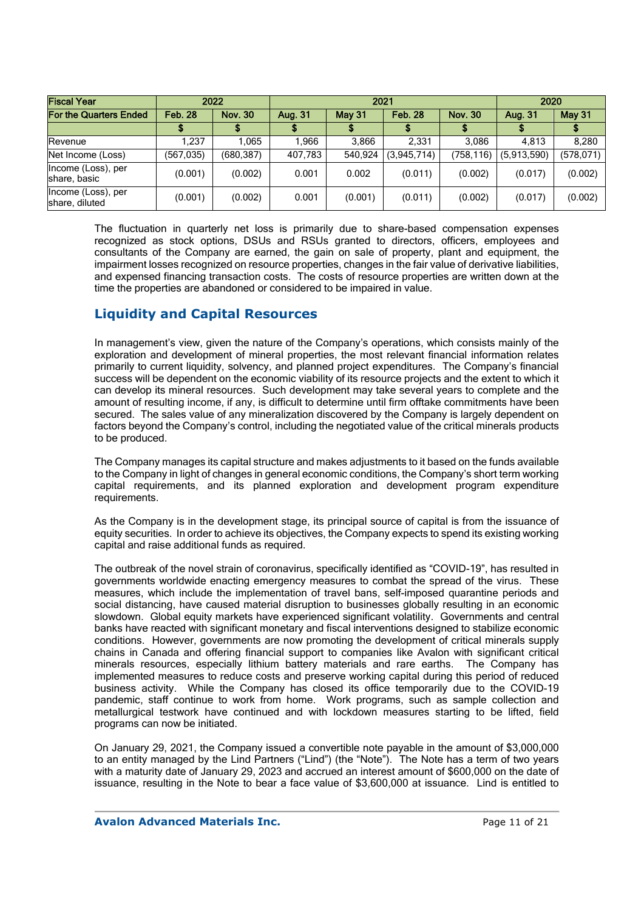| <b>Fiscal Year</b>                   | 2022           |                |         | 2021                            | 2020        |                |             |            |
|--------------------------------------|----------------|----------------|---------|---------------------------------|-------------|----------------|-------------|------------|
| <b>For the Quarters Ended</b>        | <b>Feb. 28</b> | <b>Nov. 30</b> | Aug. 31 | <b>Feb. 28</b><br><b>May 31</b> |             | <b>Nov. 30</b> | Aug. 31     | May 31     |
|                                      |                |                |         |                                 |             |                |             |            |
| Revenue                              | .237           | .065           | 1.966   | 3.866                           | 2.331       | 3.086          | 4.813       | 8,280      |
| Net Income (Loss)                    | (567, 035)     | (680, 387)     | 407,783 | 540,924                         | (3,945,714) | (758,116)      | (5,913,590) | (578, 071) |
| Income (Loss), per<br>share, basic   | (0.001)        | (0.002)        | 0.001   | 0.002                           | (0.011)     | (0.002)        | (0.017)     | (0.002)    |
| Income (Loss), per<br>share, diluted | (0.001)        | (0.002)        | 0.001   | (0.001)                         | (0.011)     | (0.002)        | (0.017)     | (0.002)    |

The fluctuation in quarterly net loss is primarily due to share-based compensation expenses recognized as stock options, DSUs and RSUs granted to directors, officers, employees and consultants of the Company are earned, the gain on sale of property, plant and equipment, the impairment losses recognized on resource properties, changes in the fair value of derivative liabilities, and expensed financing transaction costs. The costs of resource properties are written down at the time the properties are abandoned or considered to be impaired in value.

# **Liquidity and Capital Resources**

In management's view, given the nature of the Company's operations, which consists mainly of the exploration and development of mineral properties, the most relevant financial information relates primarily to current liquidity, solvency, and planned project expenditures. The Company's financial success will be dependent on the economic viability of its resource projects and the extent to which it can develop its mineral resources. Such development may take several years to complete and the amount of resulting income, if any, is difficult to determine until firm offtake commitments have been secured. The sales value of any mineralization discovered by the Company is largely dependent on factors beyond the Company's control, including the negotiated value of the critical minerals products to be produced.

The Company manages its capital structure and makes adjustments to it based on the funds available to the Company in light of changes in general economic conditions, the Company's short term working capital requirements, and its planned exploration and development program expenditure requirements.

As the Company is in the development stage, its principal source of capital is from the issuance of equity securities. In order to achieve its objectives, the Company expects to spend its existing working capital and raise additional funds as required.

The outbreak of the novel strain of coronavirus, specifically identified as "COVID-19", has resulted in governments worldwide enacting emergency measures to combat the spread of the virus. These measures, which include the implementation of travel bans, self-imposed quarantine periods and social distancing, have caused material disruption to businesses globally resulting in an economic slowdown. Global equity markets have experienced significant volatility. Governments and central banks have reacted with significant monetary and fiscal interventions designed to stabilize economic conditions. However, governments are now promoting the development of critical minerals supply chains in Canada and offering financial support to companies like Avalon with significant critical minerals resources, especially lithium battery materials and rare earths. The Company has implemented measures to reduce costs and preserve working capital during this period of reduced business activity. While the Company has closed its office temporarily due to the COVID-19 pandemic, staff continue to work from home. Work programs, such as sample collection and metallurgical testwork have continued and with lockdown measures starting to be lifted, field programs can now be initiated.

On January 29, 2021, the Company issued a convertible note payable in the amount of \$3,000,000 to an entity managed by the Lind Partners ("Lind") (the "Note"). The Note has a term of two years with a maturity date of January 29, 2023 and accrued an interest amount of \$600,000 on the date of issuance, resulting in the Note to bear a face value of \$3,600,000 at issuance. Lind is entitled to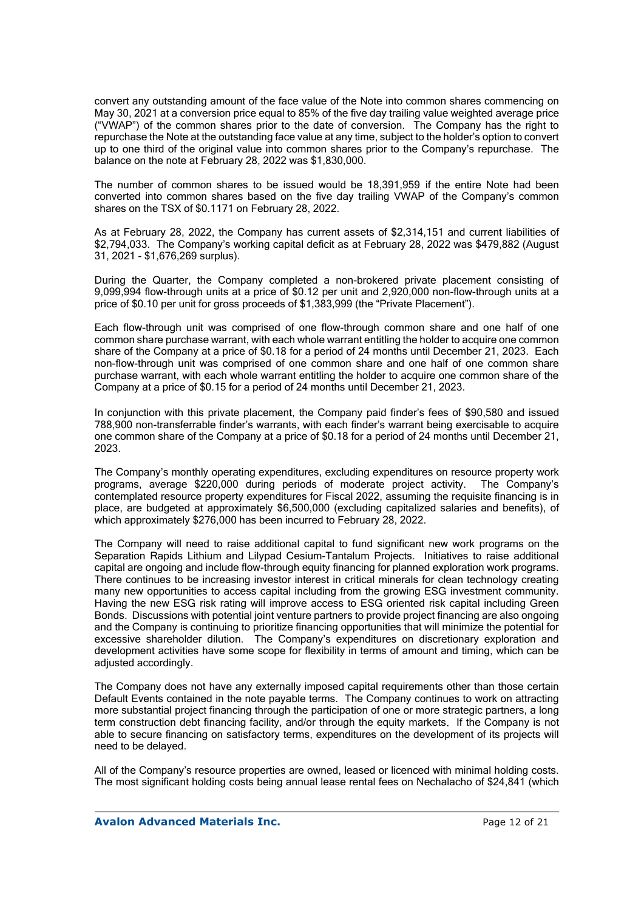convert any outstanding amount of the face value of the Note into common shares commencing on May 30, 2021 at a conversion price equal to 85% of the five day trailing value weighted average price ("VWAP") of the common shares prior to the date of conversion. The Company has the right to repurchase the Note at the outstanding face value at any time, subject to the holder's option to convert up to one third of the original value into common shares prior to the Company's repurchase. The balance on the note at February 28, 2022 was \$1,830,000.

The number of common shares to be issued would be 18,391,959 if the entire Note had been converted into common shares based on the five day trailing VWAP of the Company's common shares on the TSX of \$0.1171 on February 28, 2022.

As at February 28, 2022, the Company has current assets of \$2,314,151 and current liabilities of \$2,794,033. The Company's working capital deficit as at February 28, 2022 was \$479,882 (August 31, 2021 - \$1,676,269 surplus).

During the Quarter, the Company completed a non-brokered private placement consisting of 9,099,994 flow-through units at a price of \$0.12 per unit and 2,920,000 non-flow-through units at a price of \$0.10 per unit for gross proceeds of \$1,383,999 (the "Private Placement").

Each flow-through unit was comprised of one flow-through common share and one half of one common share purchase warrant, with each whole warrant entitling the holder to acquire one common share of the Company at a price of \$0.18 for a period of 24 months until December 21, 2023. Each non-flow-through unit was comprised of one common share and one half of one common share purchase warrant, with each whole warrant entitling the holder to acquire one common share of the Company at a price of \$0.15 for a period of 24 months until December 21, 2023.

In conjunction with this private placement, the Company paid finder's fees of \$90,580 and issued 788,900 non-transferrable finder's warrants, with each finder's warrant being exercisable to acquire one common share of the Company at a price of \$0.18 for a period of 24 months until December 21, 2023.

The Company's monthly operating expenditures, excluding expenditures on resource property work programs, average \$220,000 during periods of moderate project activity. The Company's contemplated resource property expenditures for Fiscal 2022, assuming the requisite financing is in place, are budgeted at approximately \$6,500,000 (excluding capitalized salaries and benefits), of which approximately \$276,000 has been incurred to February 28, 2022.

The Company will need to raise additional capital to fund significant new work programs on the Separation Rapids Lithium and Lilypad Cesium-Tantalum Projects. Initiatives to raise additional capital are ongoing and include flow-through equity financing for planned exploration work programs. There continues to be increasing investor interest in critical minerals for clean technology creating many new opportunities to access capital including from the growing ESG investment community. Having the new ESG risk rating will improve access to ESG oriented risk capital including Green Bonds. Discussions with potential joint venture partners to provide project financing are also ongoing and the Company is continuing to prioritize financing opportunities that will minimize the potential for excessive shareholder dilution. The Company's expenditures on discretionary exploration and development activities have some scope for flexibility in terms of amount and timing, which can be adjusted accordingly.

The Company does not have any externally imposed capital requirements other than those certain Default Events contained in the note payable terms. The Company continues to work on attracting more substantial project financing through the participation of one or more strategic partners, a long term construction debt financing facility, and/or through the equity markets. If the Company is not able to secure financing on satisfactory terms, expenditures on the development of its projects will need to be delayed.

All of the Company's resource properties are owned, leased or licenced with minimal holding costs. The most significant holding costs being annual lease rental fees on Nechalacho of \$24,841 (which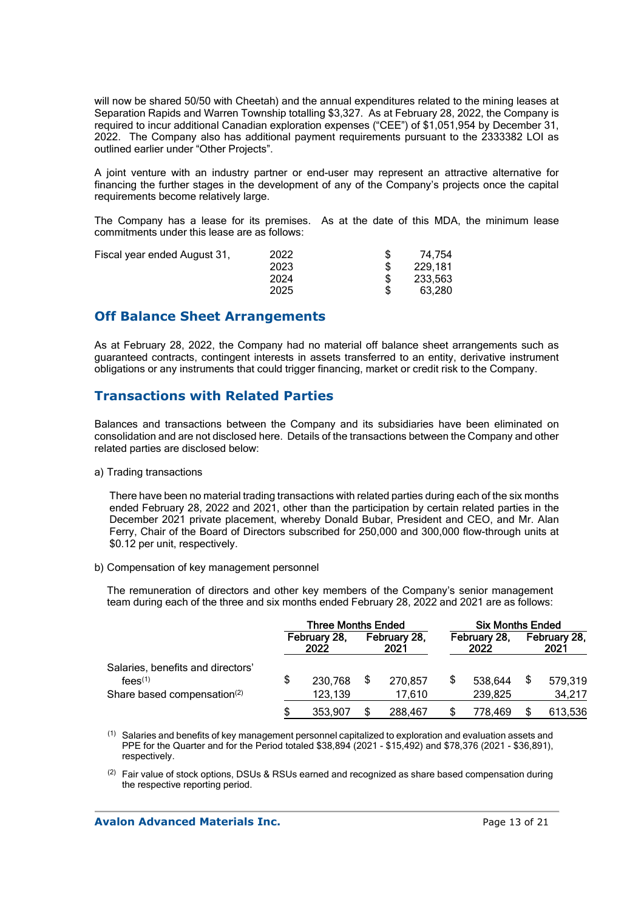will now be shared 50/50 with Cheetah) and the annual expenditures related to the mining leases at Separation Rapids and Warren Township totalling \$3,327. As at February 28, 2022, the Company is required to incur additional Canadian exploration expenses ("CEE") of \$1,051,954 by December 31, 2022. The Company also has additional payment requirements pursuant to the 2333382 LOI as outlined earlier under "Other Projects".

A joint venture with an industry partner or end-user may represent an attractive alternative for financing the further stages in the development of any of the Company's projects once the capital requirements become relatively large.

The Company has a lease for its premises. As at the date of this MDA, the minimum lease commitments under this lease are as follows:

| Fiscal year ended August 31. | 2022 | 74.754  |
|------------------------------|------|---------|
|                              | 2023 | 229.181 |
|                              | 2024 | 233.563 |
|                              | 2025 | 63.280  |

## **Off Balance Sheet Arrangements**

As at February 28, 2022, the Company had no material off balance sheet arrangements such as guaranteed contracts, contingent interests in assets transferred to an entity, derivative instrument obligations or any instruments that could trigger financing, market or credit risk to the Company.

## **Transactions with Related Parties**

Balances and transactions between the Company and its subsidiaries have been eliminated on consolidation and are not disclosed here. Details of the transactions between the Company and other related parties are disclosed below:

a) Trading transactions

There have been no material trading transactions with related parties during each of the six months ended February 28, 2022 and 2021, other than the participation by certain related parties in the December 2021 private placement, whereby Donald Bubar, President and CEO, and Mr. Alan Ferry, Chair of the Board of Directors subscribed for 250,000 and 300,000 flow-through units at \$0.12 per unit, respectively.

b) Compensation of key management personnel

The remuneration of directors and other key members of the Company's senior management team during each of the three and six months ended February 28, 2022 and 2021 are as follows:

|                                                                                            | <b>Three Months Ended</b> |                    |                      |                   | <b>Six Months Ended</b> |                    |                      |                   |
|--------------------------------------------------------------------------------------------|---------------------------|--------------------|----------------------|-------------------|-------------------------|--------------------|----------------------|-------------------|
|                                                                                            | February 28,<br>2022      |                    | February 28.<br>2021 |                   | February 28,<br>2022    |                    | February 28,<br>2021 |                   |
| Salaries, benefits and directors'<br>fees $(1)$<br>Share based compensation <sup>(2)</sup> | \$                        | 230,768<br>123,139 |                      | 270.857<br>17.610 |                         | 538.644<br>239.825 |                      | 579,319<br>34,217 |
|                                                                                            | \$                        | 353.907            |                      | 288.467           |                         | 778.469            |                      | 613.536           |

 $<sup>(1)</sup>$  Salaries and benefits of key management personnel capitalized to exploration and evaluation assets and</sup> PPE for the Quarter and for the Period totaled \$38,894 (2021 - \$15,492) and \$78,376 (2021 - \$36,891), respectively.

 $(2)$  Fair value of stock options, DSUs & RSUs earned and recognized as share based compensation during the respective reporting period.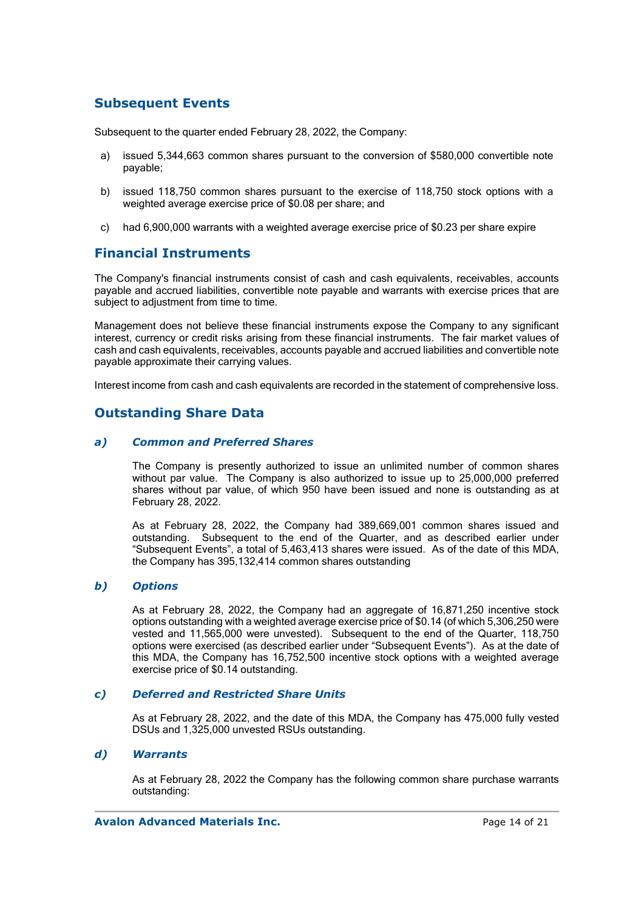# **Subsequent Events**

Subsequent to the quarter ended February 28, 2022, the Company:

- a) issued 5,344,663 common shares pursuant to the conversion of \$580,000 convertible note payable;
- b) issued 118,750 common shares pursuant to the exercise of 118,750 stock options with a weighted average exercise price of \$0.08 per share; and
- c) had 6,900,000 warrants with a weighted average exercise price of \$0.23 per share expire

## **Financial Instruments**

The Company's financial instruments consist of cash and cash equivalents, receivables, accounts payable and accrued liabilities, convertible note payable and warrants with exercise prices that are subject to adjustment from time to time.

Management does not believe these financial instruments expose the Company to any significant interest, currency or credit risks arising from these financial instruments. The fair market values of cash and cash equivalents, receivables, accounts payable and accrued liabilities and convertible note payable approximate their carrying values.

Interest income from cash and cash equivalents are recorded in the statement of comprehensive loss.

## **Outstanding Share Data**

### *a) Common and Preferred Shares*

The Company is presently authorized to issue an unlimited number of common shares without par value. The Company is also authorized to issue up to 25,000,000 preferred shares without par value, of which 950 have been issued and none is outstanding as at February 28, 2022.

As at February 28, 2022, the Company had 389,669,001 common shares issued and outstanding. Subsequent to the end of the Quarter, and as described earlier under "Subsequent Events", a total of 5,463,413 shares were issued. As of the date of this MDA, the Company has 395,132,414 common shares outstanding

### *b) Options*

As at February 28, 2022, the Company had an aggregate of 16,871,250 incentive stock options outstanding with a weighted average exercise price of \$0.14 (of which 5,306,250 were vested and 11,565,000 were unvested). Subsequent to the end of the Quarter, 118,750 options were exercised (as described earlier under "Subsequent Events"). As at the date of this MDA, the Company has 16,752,500 incentive stock options with a weighted average exercise price of \$0.14 outstanding.

### *c) Deferred and Restricted Share Units*

As at February 28, 2022, and the date of this MDA, the Company has 475,000 fully vested DSUs and 1,325,000 unvested RSUs outstanding.

### *d) Warrants*

As at February 28, 2022 the Company has the following common share purchase warrants outstanding: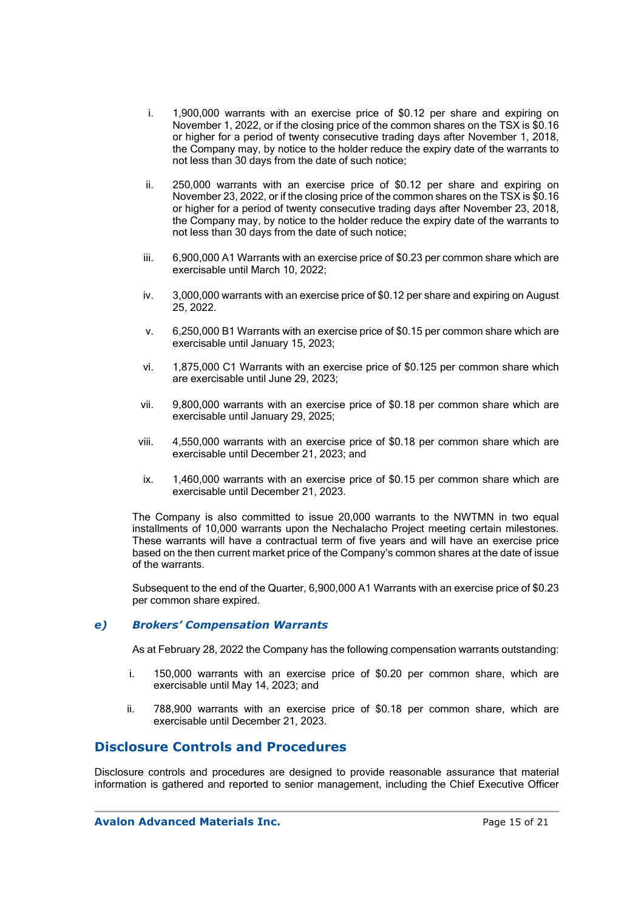- i. 1,900,000 warrants with an exercise price of \$0.12 per share and expiring on November 1, 2022, or if the closing price of the common shares on the TSX is \$0.16 or higher for a period of twenty consecutive trading days after November 1, 2018, the Company may, by notice to the holder reduce the expiry date of the warrants to not less than 30 days from the date of such notice;
- ii. 250,000 warrants with an exercise price of \$0.12 per share and expiring on November 23, 2022, or if the closing price of the common shares on the TSX is \$0.16 or higher for a period of twenty consecutive trading days after November 23, 2018, the Company may, by notice to the holder reduce the expiry date of the warrants to not less than 30 days from the date of such notice;
- iii. 6,900,000 A1 Warrants with an exercise price of \$0.23 per common share which are exercisable until March 10, 2022;
- iv. 3,000,000 warrants with an exercise price of \$0.12 per share and expiring on August 25, 2022.
- v. 6,250,000 B1 Warrants with an exercise price of \$0.15 per common share which are exercisable until January 15, 2023;
- vi. 1,875,000 C1 Warrants with an exercise price of \$0.125 per common share which are exercisable until June 29, 2023;
- vii. 9,800,000 warrants with an exercise price of \$0.18 per common share which are exercisable until January 29, 2025;
- viii. 4,550,000 warrants with an exercise price of \$0.18 per common share which are exercisable until December 21, 2023; and
- ix. 1,460,000 warrants with an exercise price of \$0.15 per common share which are exercisable until December 21, 2023.

The Company is also committed to issue 20,000 warrants to the NWTMN in two equal installments of 10,000 warrants upon the Nechalacho Project meeting certain milestones. These warrants will have a contractual term of five years and will have an exercise price based on the then current market price of the Company's common shares at the date of issue of the warrants.

Subsequent to the end of the Quarter, 6,900,000 A1 Warrants with an exercise price of \$0.23 per common share expired.

### *e) Brokers' Compensation Warrants*

As at February 28, 2022 the Company has the following compensation warrants outstanding:

- i. 150,000 warrants with an exercise price of \$0.20 per common share, which are exercisable until May 14, 2023; and
- ii. 788,900 warrants with an exercise price of \$0.18 per common share, which are exercisable until December 21, 2023.

### **Disclosure Controls and Procedures**

Disclosure controls and procedures are designed to provide reasonable assurance that material information is gathered and reported to senior management, including the Chief Executive Officer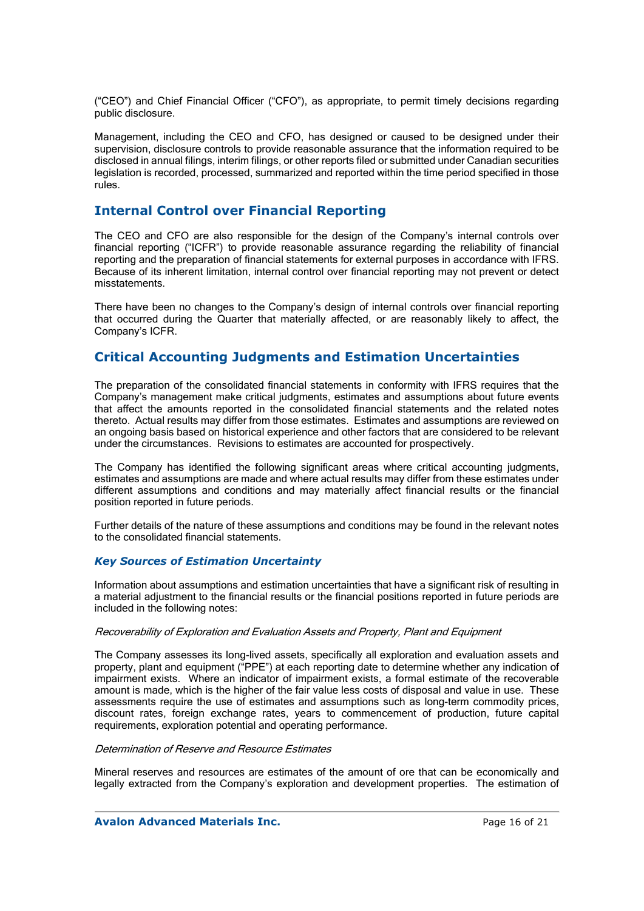("CEO") and Chief Financial Officer ("CFO"), as appropriate, to permit timely decisions regarding public disclosure.

Management, including the CEO and CFO, has designed or caused to be designed under their supervision, disclosure controls to provide reasonable assurance that the information required to be disclosed in annual filings, interim filings, or other reports filed or submitted under Canadian securities legislation is recorded, processed, summarized and reported within the time period specified in those rules.

### **Internal Control over Financial Reporting**

The CEO and CFO are also responsible for the design of the Company's internal controls over financial reporting ("ICFR") to provide reasonable assurance regarding the reliability of financial reporting and the preparation of financial statements for external purposes in accordance with IFRS. Because of its inherent limitation, internal control over financial reporting may not prevent or detect misstatements.

There have been no changes to the Company's design of internal controls over financial reporting that occurred during the Quarter that materially affected, or are reasonably likely to affect, the Company's ICFR.

## **Critical Accounting Judgments and Estimation Uncertainties**

The preparation of the consolidated financial statements in conformity with IFRS requires that the Company's management make critical judgments, estimates and assumptions about future events that affect the amounts reported in the consolidated financial statements and the related notes thereto. Actual results may differ from those estimates. Estimates and assumptions are reviewed on an ongoing basis based on historical experience and other factors that are considered to be relevant under the circumstances. Revisions to estimates are accounted for prospectively.

The Company has identified the following significant areas where critical accounting judgments, estimates and assumptions are made and where actual results may differ from these estimates under different assumptions and conditions and may materially affect financial results or the financial position reported in future periods.

Further details of the nature of these assumptions and conditions may be found in the relevant notes to the consolidated financial statements.

### *Key Sources of Estimation Uncertainty*

Information about assumptions and estimation uncertainties that have a significant risk of resulting in a material adjustment to the financial results or the financial positions reported in future periods are included in the following notes:

### Recoverability of Exploration and Evaluation Assets and Property, Plant and Equipment

The Company assesses its long-lived assets, specifically all exploration and evaluation assets and property, plant and equipment ("PPE") at each reporting date to determine whether any indication of impairment exists. Where an indicator of impairment exists, a formal estimate of the recoverable amount is made, which is the higher of the fair value less costs of disposal and value in use. These assessments require the use of estimates and assumptions such as long-term commodity prices, discount rates, foreign exchange rates, years to commencement of production, future capital requirements, exploration potential and operating performance.

#### Determination of Reserve and Resource Estimates

Mineral reserves and resources are estimates of the amount of ore that can be economically and legally extracted from the Company's exploration and development properties. The estimation of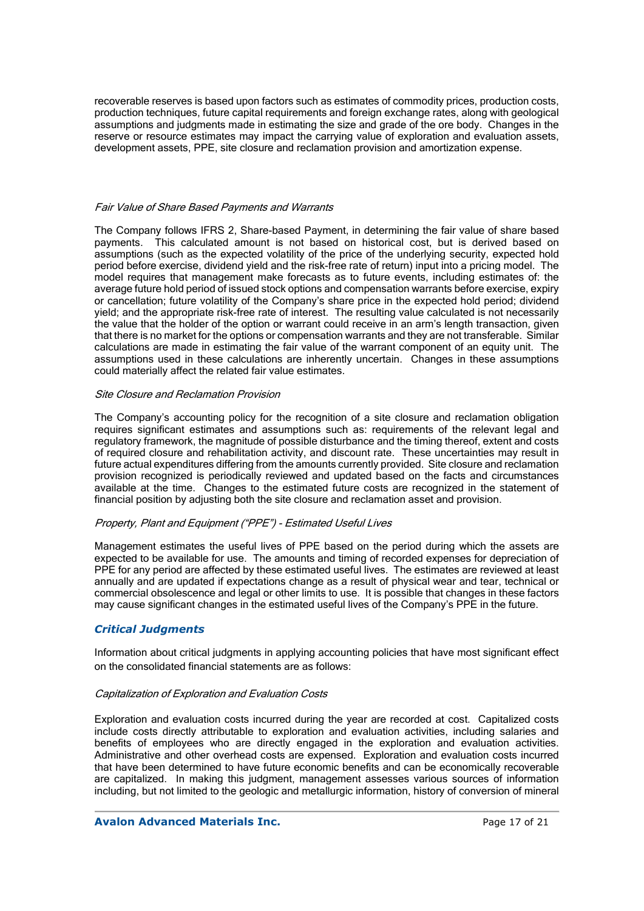recoverable reserves is based upon factors such as estimates of commodity prices, production costs, production techniques, future capital requirements and foreign exchange rates, along with geological assumptions and judgments made in estimating the size and grade of the ore body. Changes in the reserve or resource estimates may impact the carrying value of exploration and evaluation assets, development assets, PPE, site closure and reclamation provision and amortization expense.

#### Fair Value of Share Based Payments and Warrants

The Company follows IFRS 2, Share-based Payment, in determining the fair value of share based payments. This calculated amount is not based on historical cost, but is derived based on assumptions (such as the expected volatility of the price of the underlying security, expected hold period before exercise, dividend yield and the risk-free rate of return) input into a pricing model. The model requires that management make forecasts as to future events, including estimates of: the average future hold period of issued stock options and compensation warrants before exercise, expiry or cancellation; future volatility of the Company's share price in the expected hold period; dividend yield; and the appropriate risk-free rate of interest. The resulting value calculated is not necessarily the value that the holder of the option or warrant could receive in an arm's length transaction, given that there is no market for the options or compensation warrants and they are not transferable. Similar calculations are made in estimating the fair value of the warrant component of an equity unit. The assumptions used in these calculations are inherently uncertain. Changes in these assumptions could materially affect the related fair value estimates.

#### Site Closure and Reclamation Provision

The Company's accounting policy for the recognition of a site closure and reclamation obligation requires significant estimates and assumptions such as: requirements of the relevant legal and regulatory framework, the magnitude of possible disturbance and the timing thereof, extent and costs of required closure and rehabilitation activity, and discount rate. These uncertainties may result in future actual expenditures differing from the amounts currently provided. Site closure and reclamation provision recognized is periodically reviewed and updated based on the facts and circumstances available at the time. Changes to the estimated future costs are recognized in the statement of financial position by adjusting both the site closure and reclamation asset and provision.

### Property, Plant and Equipment ("PPE") - Estimated Useful Lives

Management estimates the useful lives of PPE based on the period during which the assets are expected to be available for use. The amounts and timing of recorded expenses for depreciation of PPE for any period are affected by these estimated useful lives. The estimates are reviewed at least annually and are updated if expectations change as a result of physical wear and tear, technical or commercial obsolescence and legal or other limits to use. It is possible that changes in these factors may cause significant changes in the estimated useful lives of the Company's PPE in the future.

### *Critical Judgments*

Information about critical judgments in applying accounting policies that have most significant effect on the consolidated financial statements are as follows:

### Capitalization of Exploration and Evaluation Costs

Exploration and evaluation costs incurred during the year are recorded at cost. Capitalized costs include costs directly attributable to exploration and evaluation activities, including salaries and benefits of employees who are directly engaged in the exploration and evaluation activities. Administrative and other overhead costs are expensed. Exploration and evaluation costs incurred that have been determined to have future economic benefits and can be economically recoverable are capitalized. In making this judgment, management assesses various sources of information including, but not limited to the geologic and metallurgic information, history of conversion of mineral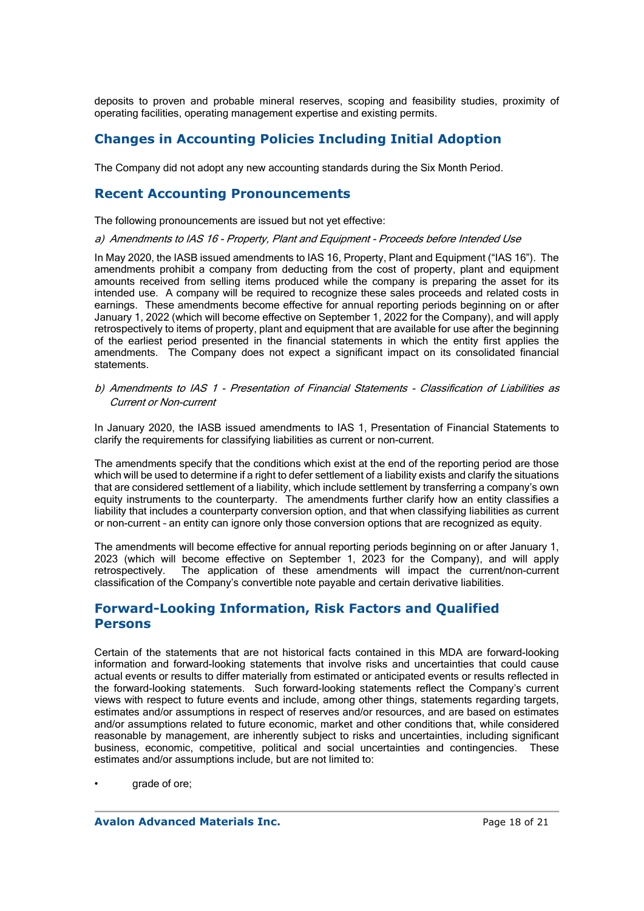deposits to proven and probable mineral reserves, scoping and feasibility studies, proximity of operating facilities, operating management expertise and existing permits.

# **Changes in Accounting Policies Including Initial Adoption**

The Company did not adopt any new accounting standards during the Six Month Period.

## **Recent Accounting Pronouncements**

The following pronouncements are issued but not yet effective:

a) Amendments to IAS 16 - Property, Plant and Equipment - Proceeds before Intended Use

In May 2020, the IASB issued amendments to IAS 16, Property, Plant and Equipment ("IAS 16"). The amendments prohibit a company from deducting from the cost of property, plant and equipment amounts received from selling items produced while the company is preparing the asset for its intended use. A company will be required to recognize these sales proceeds and related costs in earnings. These amendments become effective for annual reporting periods beginning on or after January 1, 2022 (which will become effective on September 1, 2022 for the Company), and will apply retrospectively to items of property, plant and equipment that are available for use after the beginning of the earliest period presented in the financial statements in which the entity first applies the amendments. The Company does not expect a significant impact on its consolidated financial statements.

b) Amendments to IAS 1 - Presentation of Financial Statements - Classification of Liabilities as Current or Non-current

In January 2020, the IASB issued amendments to IAS 1, Presentation of Financial Statements to clarify the requirements for classifying liabilities as current or non-current.

The amendments specify that the conditions which exist at the end of the reporting period are those which will be used to determine if a right to defer settlement of a liability exists and clarify the situations that are considered settlement of a liability, which include settlement by transferring a company's own equity instruments to the counterparty. The amendments further clarify how an entity classifies a liability that includes a counterparty conversion option, and that when classifying liabilities as current or non-current – an entity can ignore only those conversion options that are recognized as equity.

The amendments will become effective for annual reporting periods beginning on or after January 1, 2023 (which will become effective on September 1, 2023 for the Company), and will apply retrospectively. The application of these amendments will impact the current/non-current classification of the Company's convertible note payable and certain derivative liabilities.

# **Forward-Looking Information, Risk Factors and Qualified Persons**

Certain of the statements that are not historical facts contained in this MDA are forward-looking information and forward-looking statements that involve risks and uncertainties that could cause actual events or results to differ materially from estimated or anticipated events or results reflected in the forward-looking statements. Such forward-looking statements reflect the Company's current views with respect to future events and include, among other things, statements regarding targets, estimates and/or assumptions in respect of reserves and/or resources, and are based on estimates and/or assumptions related to future economic, market and other conditions that, while considered reasonable by management, are inherently subject to risks and uncertainties, including significant business, economic, competitive, political and social uncertainties and contingencies. These estimates and/or assumptions include, but are not limited to:

arade of ore: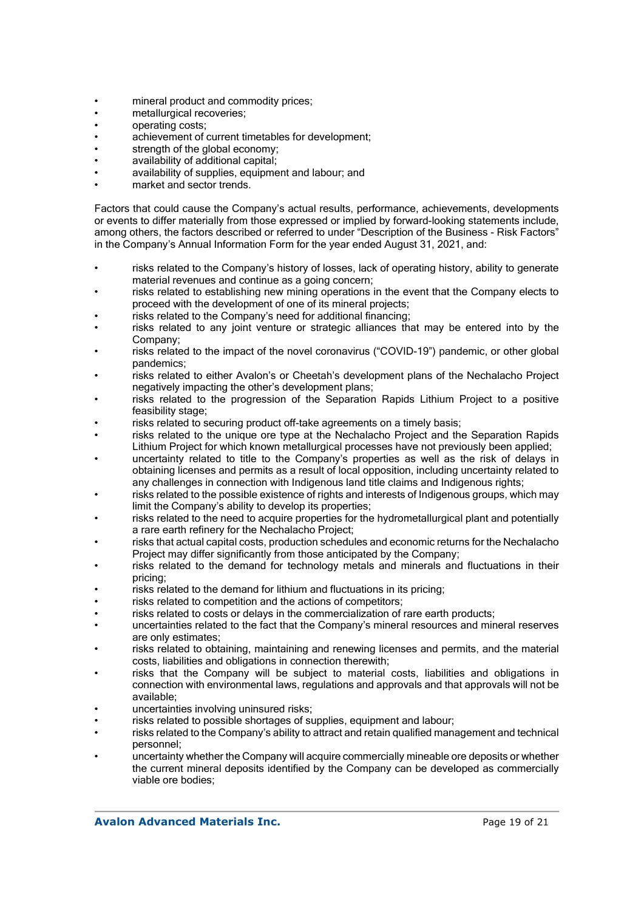- mineral product and commodity prices;
- metallurgical recoveries;
- operating costs;
- achievement of current timetables for development;
- strength of the global economy;
- availability of additional capital;
- availability of supplies, equipment and labour; and
- market and sector trends.

Factors that could cause the Company's actual results, performance, achievements, developments or events to differ materially from those expressed or implied by forward-looking statements include, among others, the factors described or referred to under "Description of the Business - Risk Factors" in the Company's Annual Information Form for the year ended August 31, 2021, and:

- risks related to the Company's history of losses, lack of operating history, ability to generate material revenues and continue as a going concern;
- risks related to establishing new mining operations in the event that the Company elects to proceed with the development of one of its mineral projects;
- risks related to the Company's need for additional financing:
- risks related to any joint venture or strategic alliances that may be entered into by the Company;
- risks related to the impact of the novel coronavirus ("COVID-19") pandemic, or other global pandemics;
- risks related to either Avalon's or Cheetah's development plans of the Nechalacho Project negatively impacting the other's development plans;
- risks related to the progression of the Separation Rapids Lithium Project to a positive feasibility stage;
- risks related to securing product off-take agreements on a timely basis;
- risks related to the unique ore type at the Nechalacho Project and the Separation Rapids Lithium Project for which known metallurgical processes have not previously been applied;
- uncertainty related to title to the Company's properties as well as the risk of delays in obtaining licenses and permits as a result of local opposition, including uncertainty related to any challenges in connection with Indigenous land title claims and Indigenous rights;
- risks related to the possible existence of rights and interests of Indigenous groups, which may limit the Company's ability to develop its properties;
- risks related to the need to acquire properties for the hydrometallurgical plant and potentially a rare earth refinery for the Nechalacho Project;
- risks that actual capital costs, production schedules and economic returns for the Nechalacho Project may differ significantly from those anticipated by the Company;
- risks related to the demand for technology metals and minerals and fluctuations in their pricing;
- risks related to the demand for lithium and fluctuations in its pricing;
- risks related to competition and the actions of competitors:
- risks related to costs or delays in the commercialization of rare earth products;
- uncertainties related to the fact that the Company's mineral resources and mineral reserves are only estimates;
- risks related to obtaining, maintaining and renewing licenses and permits, and the material costs, liabilities and obligations in connection therewith;
- risks that the Company will be subject to material costs, liabilities and obligations in connection with environmental laws, regulations and approvals and that approvals will not be available;
- uncertainties involving uninsured risks:
- risks related to possible shortages of supplies, equipment and labour;
- risks related to the Company's ability to attract and retain qualified management and technical personnel;
- uncertainty whether the Company will acquire commercially mineable ore deposits or whether the current mineral deposits identified by the Company can be developed as commercially viable ore bodies;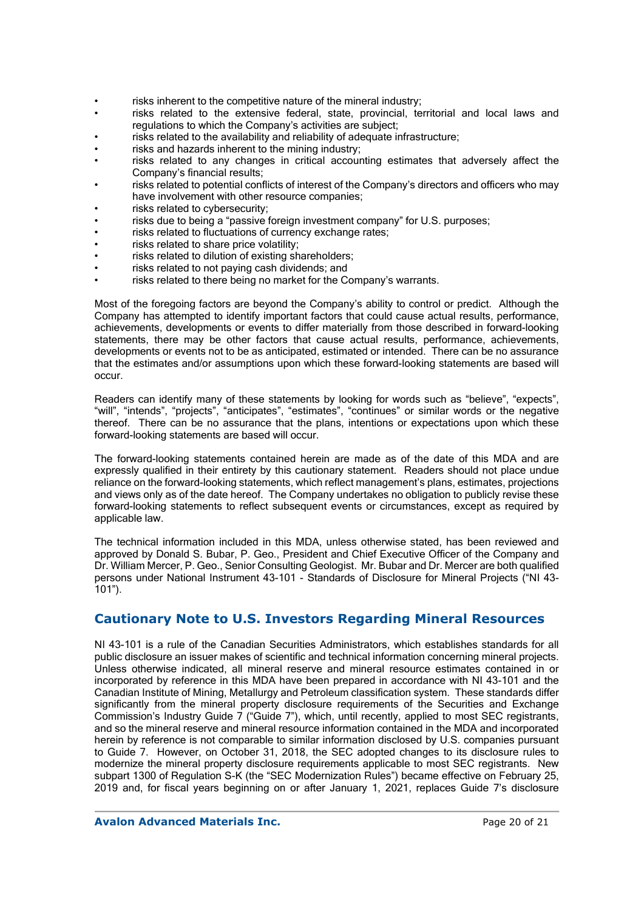- risks inherent to the competitive nature of the mineral industry;
- risks related to the extensive federal, state, provincial, territorial and local laws and regulations to which the Company's activities are subject;
- risks related to the availability and reliability of adequate infrastructure;
- risks and hazards inherent to the mining industry;
- risks related to any changes in critical accounting estimates that adversely affect the Company's financial results;
- risks related to potential conflicts of interest of the Company's directors and officers who may have involvement with other resource companies;
- risks related to cybersecurity;
- risks due to being a "passive foreign investment company" for U.S. purposes;
- risks related to fluctuations of currency exchange rates;
- risks related to share price volatility;
- risks related to dilution of existing shareholders;
- risks related to not paying cash dividends; and
- risks related to there being no market for the Company's warrants.

Most of the foregoing factors are beyond the Company's ability to control or predict. Although the Company has attempted to identify important factors that could cause actual results, performance, achievements, developments or events to differ materially from those described in forward-looking statements, there may be other factors that cause actual results, performance, achievements, developments or events not to be as anticipated, estimated or intended. There can be no assurance that the estimates and/or assumptions upon which these forward-looking statements are based will occur.

Readers can identify many of these statements by looking for words such as "believe", "expects", "will", "intends", "projects", "anticipates", "estimates", "continues" or similar words or the negative thereof. There can be no assurance that the plans, intentions or expectations upon which these forward-looking statements are based will occur.

The forward-looking statements contained herein are made as of the date of this MDA and are expressly qualified in their entirety by this cautionary statement. Readers should not place undue reliance on the forward-looking statements, which reflect management's plans, estimates, projections and views only as of the date hereof. The Company undertakes no obligation to publicly revise these forward-looking statements to reflect subsequent events or circumstances, except as required by applicable law.

The technical information included in this MDA, unless otherwise stated, has been reviewed and approved by Donald S. Bubar, P. Geo., President and Chief Executive Officer of the Company and Dr. William Mercer, P. Geo., Senior Consulting Geologist. Mr. Bubar and Dr. Mercer are both qualified persons under National Instrument 43-101 - Standards of Disclosure for Mineral Projects ("NI 43-  $101"$ ).

# **Cautionary Note to U.S. Investors Regarding Mineral Resources**

NI 43-101 is a rule of the Canadian Securities Administrators, which establishes standards for all public disclosure an issuer makes of scientific and technical information concerning mineral projects. Unless otherwise indicated, all mineral reserve and mineral resource estimates contained in or incorporated by reference in this MDA have been prepared in accordance with NI 43-101 and the Canadian Institute of Mining, Metallurgy and Petroleum classification system. These standards differ significantly from the mineral property disclosure requirements of the Securities and Exchange Commission's Industry Guide 7 ("Guide 7"), which, until recently, applied to most SEC registrants, and so the mineral reserve and mineral resource information contained in the MDA and incorporated herein by reference is not comparable to similar information disclosed by U.S. companies pursuant to Guide 7. However, on October 31, 2018, the SEC adopted changes to its disclosure rules to modernize the mineral property disclosure requirements applicable to most SEC registrants. New subpart 1300 of Regulation S-K (the "SEC Modernization Rules") became effective on February 25, 2019 and, for fiscal years beginning on or after January 1, 2021, replaces Guide 7's disclosure